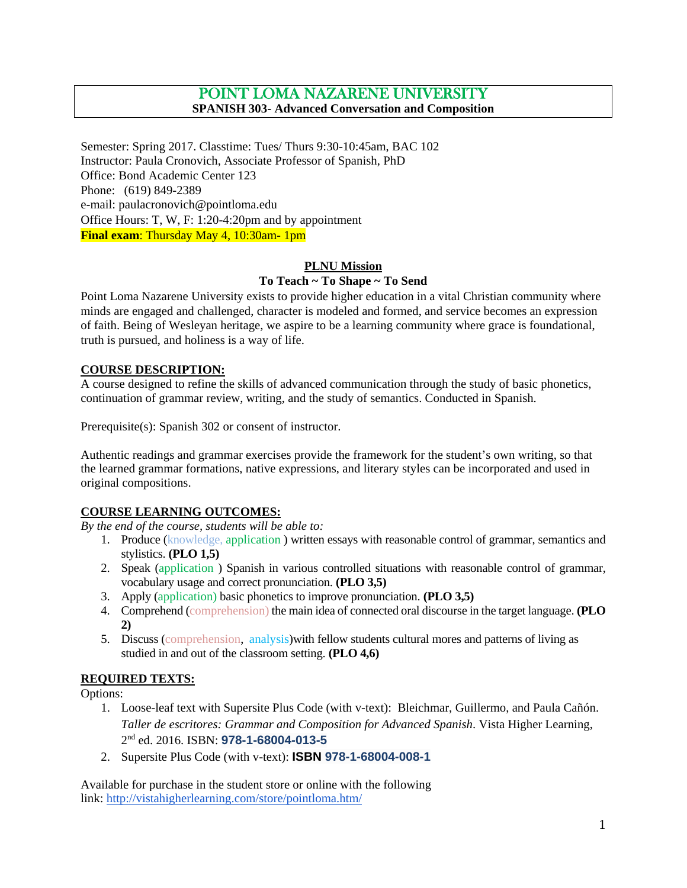# POINT LOMA NAZARENE UNIVERSITY **SPANISH 303- Advanced Conversation and Composition**

Semester: Spring 2017. Classtime: Tues/ Thurs 9:30-10:45am, BAC 102 Instructor: Paula Cronovich, Associate Professor of Spanish, PhD Office: Bond Academic Center 123 Phone: (619) 849-2389 e-mail: paulacronovich@pointloma.edu Office Hours: T, W, F: 1:20-4:20pm and by appointment **Final exam**: Thursday May 4, 10:30am- 1pm

#### **PLNU Mission**

#### **To Teach ~ To Shape ~ To Send**

Point Loma Nazarene University exists to provide higher education in a vital Christian community where minds are engaged and challenged, character is modeled and formed, and service becomes an expression of faith. Being of Wesleyan heritage, we aspire to be a learning community where grace is foundational, truth is pursued, and holiness is a way of life.

#### **COURSE DESCRIPTION:**

A course designed to refine the skills of advanced communication through the study of basic phonetics, continuation of grammar review, writing, and the study of semantics. Conducted in Spanish.

Prerequisite(s): Spanish 302 or consent of instructor.

Authentic readings and grammar exercises provide the framework for the student's own writing, so that the learned grammar formations, native expressions, and literary styles can be incorporated and used in original compositions.

#### **COURSE LEARNING OUTCOMES:**

*By the end of the course, students will be able to:*

- 1. Produce (knowledge, application ) written essays with reasonable control of grammar, semantics and stylistics. **(PLO 1,5)**
- 2. Speak (application ) Spanish in various controlled situations with reasonable control of grammar, vocabulary usage and correct pronunciation. **(PLO 3,5)**
- 3. Apply (application) basic phonetics to improve pronunciation. **(PLO 3,5)**
- 4. Comprehend (comprehension) the main idea of connected oral discourse in the target language. **(PLO 2)**
- 5. Discuss (comprehension, analysis)with fellow students cultural mores and patterns of living as studied in and out of the classroom setting. **(PLO 4,6)**

#### **REQUIRED TEXTS:**

Options:

- 1. Loose-leaf text with Supersite Plus Code (with v-text): Bleichmar, Guillermo, and Paula Cañón. *Taller de escritores: Grammar and Composition for Advanced Spanish*. Vista Higher Learning, 2nd ed. 2016. ISBN: **978-1-68004-013-5**
- 2. Supersite Plus Code (with v-text): **ISBN 978-1-68004-008-1**

Available for purchase in the student store or online with the following link: <http://vistahigherlearning.com/store/pointloma.htm/>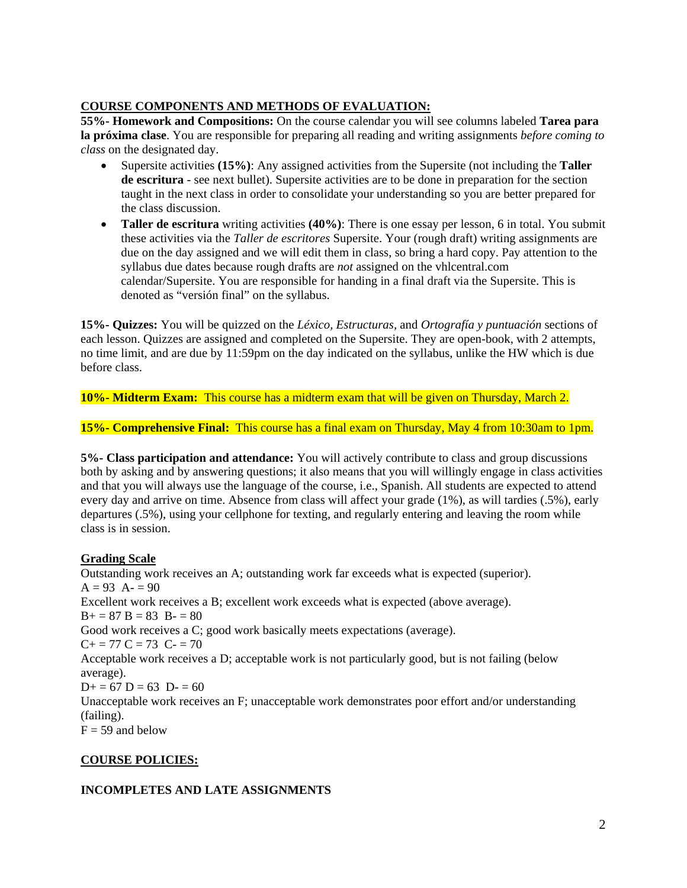#### **COURSE COMPONENTS AND METHODS OF EVALUATION:**

**55%- Homework and Compositions:** On the course calendar you will see columns labeled **Tarea para la próxima clase**. You are responsible for preparing all reading and writing assignments *before coming to class* on the designated day.

- Supersite activities **(15%)**: Any assigned activities from the Supersite (not including the **Taller de escritura** - see next bullet). Supersite activities are to be done in preparation for the section taught in the next class in order to consolidate your understanding so you are better prepared for the class discussion.
- **Taller de escritura** writing activities **(40%)**: There is one essay per lesson, 6 in total. You submit these activities via the *Taller de escritores* Supersite. Your (rough draft) writing assignments are due on the day assigned and we will edit them in class, so bring a hard copy. Pay attention to the syllabus due dates because rough drafts are *not* assigned on the vhlcentral.com calendar/Supersite. You are responsible for handing in a final draft via the Supersite. This is denoted as "versión final" on the syllabus.

**15%- Quizzes:** You will be quizzed on the *Léxico, Estructuras,* and *Ortografía y puntuación* sections of each lesson. Quizzes are assigned and completed on the Supersite. They are open-book, with 2 attempts, no time limit, and are due by 11:59pm on the day indicated on the syllabus, unlike the HW which is due before class.

**10%- Midterm Exam:** This course has a midterm exam that will be given on Thursday, March 2.

**15%- Comprehensive Final:** This course has a final exam on Thursday, May 4 from 10:30am to 1pm.

**5%- Class participation and attendance:** You will actively contribute to class and group discussions both by asking and by answering questions; it also means that you will willingly engage in class activities and that you will always use the language of the course, i.e., Spanish. All students are expected to attend every day and arrive on time. Absence from class will affect your grade (1%), as will tardies (.5%), early departures (.5%), using your cellphone for texting, and regularly entering and leaving the room while class is in session.

#### **Grading Scale**

Outstanding work receives an A; outstanding work far exceeds what is expected (superior).  $A = 93$   $A = 90$ Excellent work receives a B; excellent work exceeds what is expected (above average).  $B+=87 B=83 B=80$ Good work receives a C; good work basically meets expectations (average).  $C+=77 C=73 C=70$ Acceptable work receives a D; acceptable work is not particularly good, but is not failing (below average).  $D+= 67 D = 63 D = 60$ Unacceptable work receives an F; unacceptable work demonstrates poor effort and/or understanding (failing).  $F = 59$  and below

#### **COURSE POLICIES:**

#### **INCOMPLETES AND LATE ASSIGNMENTS**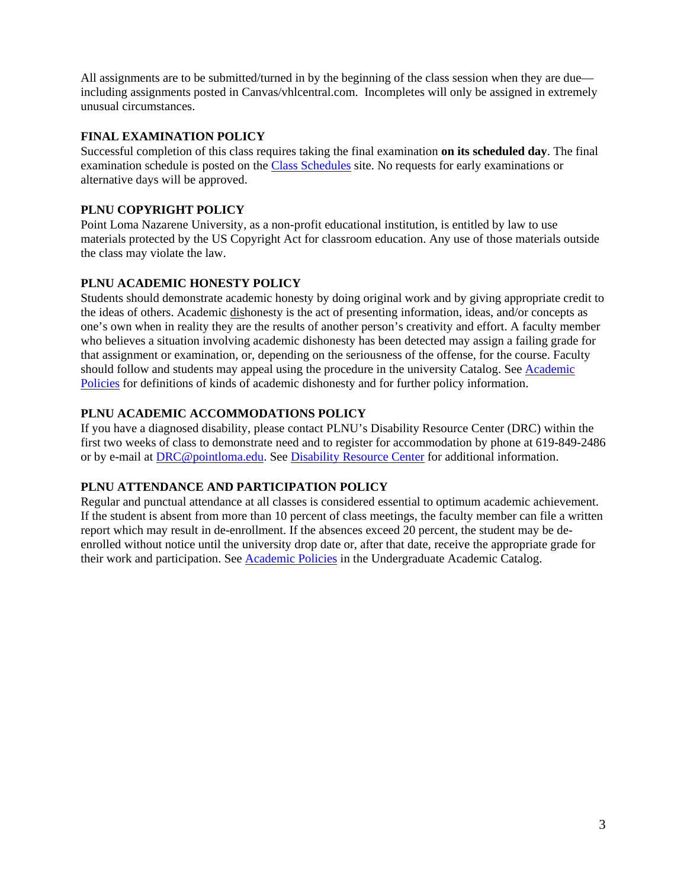All assignments are to be submitted/turned in by the beginning of the class session when they are due including assignments posted in Canvas/vhlcentral.com. Incompletes will only be assigned in extremely unusual circumstances.

#### **FINAL EXAMINATION POLICY**

Successful completion of this class requires taking the final examination **on its scheduled day**. The final examination schedule is posted on the [Class Schedules](http://www.pointloma.edu/experience/academics/class-schedules) site. No requests for early examinations or alternative days will be approved.

## **PLNU COPYRIGHT POLICY**

Point Loma Nazarene University, as a non-profit educational institution, is entitled by law to use materials protected by the US Copyright Act for classroom education. Any use of those materials outside the class may violate the law.

#### **PLNU ACADEMIC HONESTY POLICY**

Students should demonstrate academic honesty by doing original work and by giving appropriate credit to the ideas of others. Academic dishonesty is the act of presenting information, ideas, and/or concepts as one's own when in reality they are the results of another person's creativity and effort. A faculty member who believes a situation involving academic dishonesty has been detected may assign a failing grade for that assignment or examination, or, depending on the seriousness of the offense, for the course. Faculty should follow and students may appeal using the procedure in the university Catalog. See Academic [Policies](http://catalog.pointloma.edu/content.php?catoid=18&navoid=1278) for definitions of kinds of academic dishonesty and for further policy information.

## **PLNU ACADEMIC ACCOMMODATIONS POLICY**

If you have a diagnosed disability, please contact PLNU's Disability Resource Center (DRC) within the first two weeks of class to demonstrate need and to register for accommodation by phone at 619-849-2486 or by e-mail at [DRC@pointloma.edu.](mailto:DRC@pointloma.edu) See [Disability Resource Center](http://www.pointloma.edu/experience/offices/administrative-offices/academic-advising-office/disability-resource-center) for additional information.

#### **PLNU ATTENDANCE AND PARTICIPATION POLICY**

Regular and punctual attendance at all classes is considered essential to optimum academic achievement. If the student is absent from more than 10 percent of class meetings, the faculty member can file a written report which may result in de-enrollment. If the absences exceed 20 percent, the student may be deenrolled without notice until the university drop date or, after that date, receive the appropriate grade for their work and participation. See [Academic Policies](http://catalog.pointloma.edu/content.php?catoid=18&navoid=1278) in the Undergraduate Academic Catalog.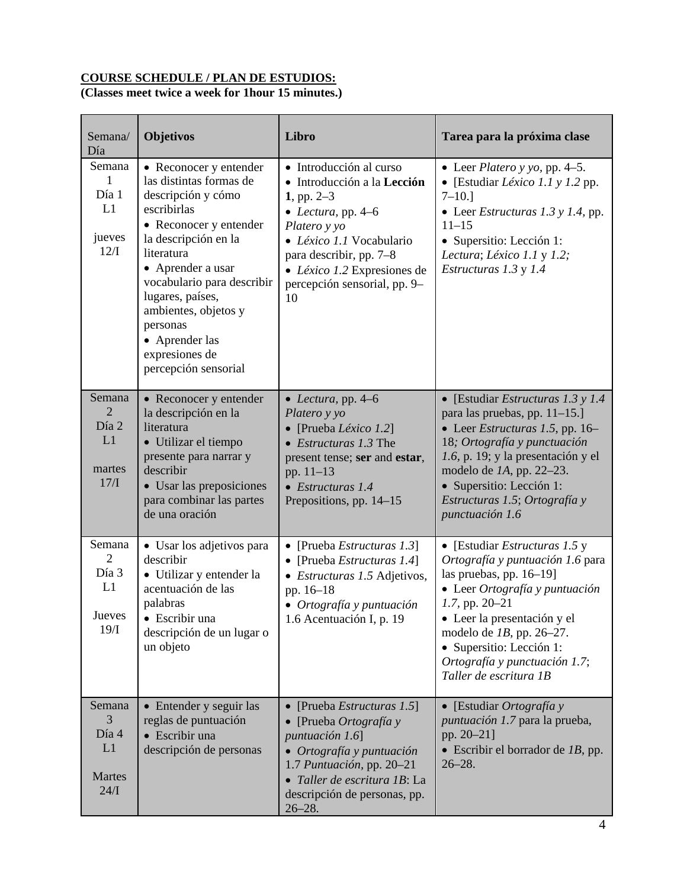# **COURSE SCHEDULE / PLAN DE ESTUDIOS:**

# **(Classes meet twice a week for 1hour 15 minutes.)**

| Semana/<br>Día                                          | Objetivos                                                                                                                                                                                                                                                                                                                     | Libro                                                                                                                                                                                                                                      | Tarea para la próxima clase                                                                                                                                                                                                                                                                                       |
|---------------------------------------------------------|-------------------------------------------------------------------------------------------------------------------------------------------------------------------------------------------------------------------------------------------------------------------------------------------------------------------------------|--------------------------------------------------------------------------------------------------------------------------------------------------------------------------------------------------------------------------------------------|-------------------------------------------------------------------------------------------------------------------------------------------------------------------------------------------------------------------------------------------------------------------------------------------------------------------|
| Semana<br>$\mathbf{1}$<br>Día 1<br>L1<br>jueves<br>12/I | • Reconocer y entender<br>las distintas formas de<br>descripción y cómo<br>escribirlas<br>• Reconocer y entender<br>la descripción en la<br>literatura<br>• Aprender a usar<br>vocabulario para describir<br>lugares, países,<br>ambientes, objetos y<br>personas<br>• Aprender las<br>expresiones de<br>percepción sensorial | • Introducción al curso<br>• Introducción a la Lección<br>1, pp. $2-3$<br>• Lectura, pp. $4-6$<br>Platero y yo<br>· Léxico 1.1 Vocabulario<br>para describir, pp. 7-8<br>• Léxico 1.2 Expresiones de<br>percepción sensorial, pp. 9-<br>10 | • Leer <i>Platero</i> $y$ $y$ <i>o</i> , $pp$ . 4–5.<br>• [Estudiar <i>Léxico 1.1</i> y $1.2$ pp.<br>$7 - 10.1$<br>• Leer <i>Estructuras</i> 1.3 y 1.4, pp.<br>$11 - 15$<br>• Supersitio: Lección 1:<br>Lectura; Léxico 1.1 y 1.2;<br>Estructuras 1.3 y 1.4                                                       |
| Semana<br>2<br>Día 2<br>L1<br>martes<br>17/I            | • Reconocer y entender<br>la descripción en la<br>literatura<br>• Utilizar el tiempo<br>presente para narrar y<br>describir<br>• Usar las preposiciones<br>para combinar las partes<br>de una oración                                                                                                                         | • Lectura, pp. $4-6$<br>Platero y yo<br>• [Prueba Léxico 1.2]<br>$\bullet$ <i>Estructuras</i> 1.3 The<br>present tense; ser and estar,<br>pp. $11-13$<br>$\bullet$ Estructuras 1.4<br>Prepositions, pp. 14–15                              | • [Estudiar <i>Estructuras</i> 1.3 y 1.4<br>para las pruebas, pp. 11-15.]<br>• Leer <i>Estructuras</i> 1.5, pp. 16–<br>18; Ortografía y punctuación<br>1.6, p. 19; y la presentación y el<br>modelo de $IA$ , pp. 22–23.<br>• Supersitio: Lección 1:<br>Estructuras 1.5; Ortografía y<br>punctuación 1.6          |
| Semana<br>2<br>Día 3<br>L1<br>Jueves<br>19/I            | • Usar los adjetivos para<br>describir<br>• Utilizar y entender la<br>acentuación de las<br>palabras<br>· Escribir una<br>descripción de un lugar o<br>un objeto                                                                                                                                                              | • [Prueba <i>Estructuras</i> 1.3]<br>• [Prueba <i>Estructuras</i> 1.4]<br>• Estructuras 1.5 Adjetivos,<br>pp. 16-18<br>• Ortografía y puntuación<br>1.6 Acentuación I, p. 19                                                               | • [Estudiar <i>Estructuras</i> $1.5 y$<br>Ortografía y puntuación 1.6 para<br>las pruebas, pp. $16-19$ ]<br>• Leer Ortografía y puntuación<br>1.7, pp. 20-21<br>• Leer la presentación y el<br>modelo de $1B$ , pp. 26-27.<br>• Supersitio: Lección 1:<br>Ortografía y punctuación 1.7;<br>Taller de escritura 1B |
| Semana<br>3<br>Día 4<br>L1<br>Martes<br>24/I            | • Entender y seguir las<br>reglas de puntuación<br>• Escribir una<br>descripción de personas                                                                                                                                                                                                                                  | • [Prueba <i>Estructuras</i> 1.5]<br>• [Prueba Ortografía y<br>puntuación 1.6]<br>• Ortografía y puntuación<br>1.7 Puntuación, pp. 20-21<br>· Taller de escritura 1B: La<br>descripción de personas, pp.<br>$26 - 28.$                     | • [Estudiar Ortografía y<br>puntuación 1.7 para la prueba,<br>pp. 20-21]<br>$\bullet$ Escribir el borrador de <i>1B</i> , pp.<br>$26 - 28.$                                                                                                                                                                       |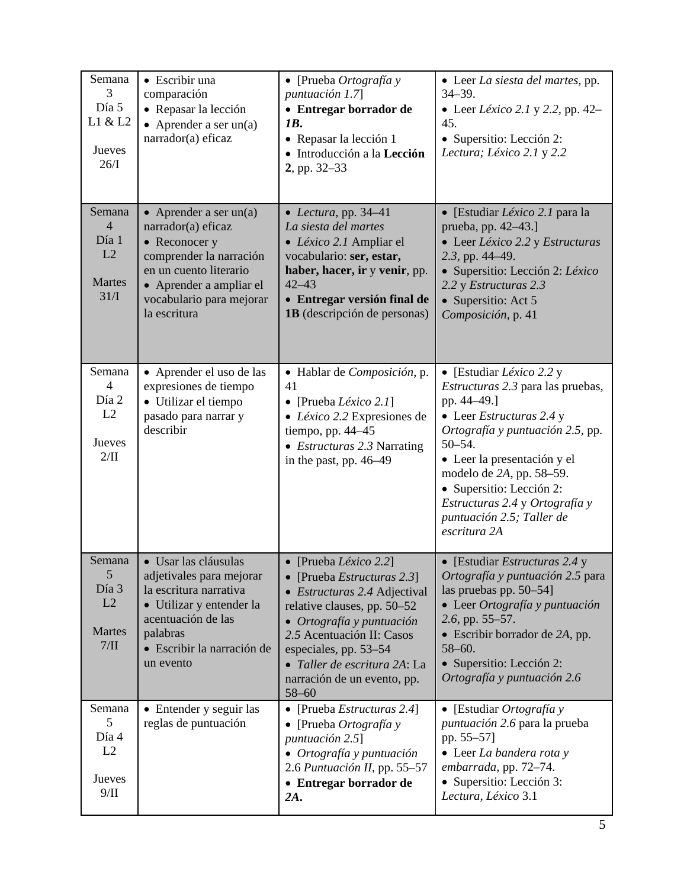| Semana<br>3<br>Día 5<br>L1 & L2<br>Jueves<br>26/I                | • Escribir una<br>comparación<br>• Repasar la lección<br>• Aprender a ser $un(a)$<br>narrador(a) eficaz                                                                                     | $\bullet$ [Prueba Ortografía y<br>puntuación 1.7<br>• Entregar borrador de<br>1B.<br>• Repasar la lección 1<br>· Introducción a la Lección<br>2, pp. 32–33                                                                                                                                    | • Leer La siesta del martes, pp.<br>$34 - 39.$<br>• Leer <i>Léxico</i> 2.1 y 2.2, pp. 42–<br>45.<br>• Supersitio: Lección 2:<br>Lectura; Léxico 2.1 y 2.2                                                                                                                                                                                      |
|------------------------------------------------------------------|---------------------------------------------------------------------------------------------------------------------------------------------------------------------------------------------|-----------------------------------------------------------------------------------------------------------------------------------------------------------------------------------------------------------------------------------------------------------------------------------------------|------------------------------------------------------------------------------------------------------------------------------------------------------------------------------------------------------------------------------------------------------------------------------------------------------------------------------------------------|
| Semana<br>$\overline{4}$<br>Día 1<br>L2<br><b>Martes</b><br>31/I | • Aprender a ser $un(a)$<br>narrador(a) eficaz<br>• Reconocer y<br>comprender la narración<br>en un cuento literario<br>• Aprender a ampliar el<br>vocabulario para mejorar<br>la escritura | • Lectura, pp. $34-41$<br>La siesta del martes<br>• Léxico 2.1 Ampliar el<br>vocabulario: ser, estar,<br>haber, hacer, ir y venir, pp.<br>$42 - 43$<br>• Entregar versión final de<br>1B (descripción de personas)                                                                            | • [Estudiar <i>Léxico</i> 2.1 para la<br>prueba, pp. 42–43.]<br>• Leer Léxico 2.2 y Estructuras<br>2.3, pp. 44–49.<br>· Supersitio: Lección 2: Léxico<br>2.2 y Estructuras 2.3<br>• Supersitio: Act 5<br>Composición, p. 41                                                                                                                    |
| Semana<br>$\overline{4}$<br>Día 2<br>L2<br>Jueves<br>$2/\Pi$     | • Aprender el uso de las<br>expresiones de tiempo<br>• Utilizar el tiempo<br>pasado para narrar y<br>describir                                                                              | · Hablar de Composición, p.<br>41<br>• [Prueba <i>Léxico</i> 2.1]<br>• Léxico 2.2 Expresiones de<br>tiempo, pp. 44-45<br>• <i>Estructuras</i> 2.3 Narrating<br>in the past, pp. 46–49                                                                                                         | • [Estudiar <i>Léxico</i> 2.2 y<br><i>Estructuras</i> 2.3 para las pruebas,<br>pp. 44-49.]<br>• Leer Estructuras 2.4 y<br>Ortografía y puntuación 2.5, pp.<br>$50 - 54.$<br>· Leer la presentación y el<br>modelo de 2A, pp. 58–59.<br>• Supersitio: Lección 2:<br>Estructuras 2.4 y Ortografía y<br>puntuación 2.5; Taller de<br>escritura 2A |
| Semana<br>5<br>Día 3<br>L2<br>Martes<br>7/II                     | · Usar las cláusulas<br>adjetivales para mejorar<br>la escritura narrativa<br>• Utilizar y entender la<br>acentuación de las<br>palabras<br>· Escribir la narración de<br>un evento         | • [Prueba <i>Léxico</i> 2.2]<br>[Prueba <i>Estructuras</i> 2.3]<br>• Estructuras 2.4 Adjectival<br>relative clauses, pp. 50–52<br>• Ortografía y puntuación<br>2.5 Acentuación II: Casos<br>especiales, pp. 53–54<br>• Taller de escritura 2A: La<br>narración de un evento, pp.<br>$58 - 60$ | • [Estudiar Estructuras 2.4 y<br>Ortografía y puntuación 2.5 para<br>las pruebas pp. 50–54]<br>· Leer Ortografía y puntuación<br>2.6, pp. 55–57.<br>• Escribir borrador de 2A, pp.<br>$58 - 60.$<br>• Supersitio: Lección 2:<br>Ortografía y puntuación 2.6                                                                                    |
| Semana<br>5<br>Día 4<br>L2<br>Jueves<br>9/II                     | • Entender y seguir las<br>reglas de puntuación                                                                                                                                             | • [Prueba Estructuras 2.4]<br>[Prueba Ortografía y<br>$\bullet$<br>puntuación 2.5]<br>• Ortografía y puntuación<br>2.6 Puntuación II, pp. 55-57<br>• Entregar borrador de<br>2A.                                                                                                              | • [Estudiar Ortografía y<br>puntuación 2.6 para la prueba<br>pp. 55–57]<br>• Leer La bandera rota y<br>embarrada, pp. 72-74.<br>• Supersitio: Lección 3:<br>Lectura, Léxico 3.1                                                                                                                                                                |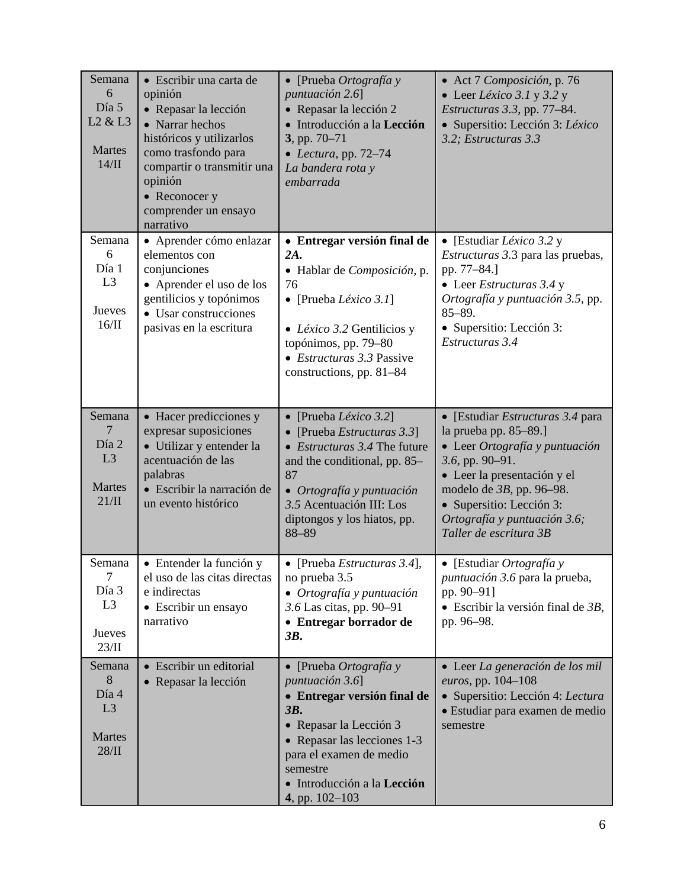| Semana<br>6<br>Día 5<br>L <sub>2</sub> & L <sub>3</sub><br>Martes<br>14/II | · Escribir una carta de<br>opinión<br>• Repasar la lección<br>• Narrar hechos<br>históricos y utilizarlos<br>como trasfondo para<br>compartir o transmitir una<br>opinión<br>• Reconocer y<br>comprender un ensayo<br>narrativo | $\bullet$ [Prueba Ortografía y<br>puntuación 2.6]<br>• Repasar la lección 2<br>· Introducción a la Lección<br>3, pp. 70-71<br>• Lectura, pp. $72-74$<br>La bandera rota y<br>embarrada                                                    | • Act 7 Composición, p. 76<br>• Leer Léxico 3.1 y 3.2 y<br><i>Estructuras</i> 3.3, pp. 77-84.<br>· Supersitio: Lección 3: Léxico<br>3.2; Estructuras 3.3                                                                                                              |
|----------------------------------------------------------------------------|---------------------------------------------------------------------------------------------------------------------------------------------------------------------------------------------------------------------------------|-------------------------------------------------------------------------------------------------------------------------------------------------------------------------------------------------------------------------------------------|-----------------------------------------------------------------------------------------------------------------------------------------------------------------------------------------------------------------------------------------------------------------------|
| Semana<br>6<br>Día 1<br>L <sub>3</sub><br>Jueves<br>16/II                  | · Aprender cómo enlazar<br>elementos con<br>conjunciones<br>• Aprender el uso de los<br>gentilicios y topónimos<br>• Usar construcciones<br>pasivas en la escritura                                                             | • Entregar versión final de<br>2A.<br>· Hablar de Composición, p.<br>76<br>• [Prueba <i>Léxico</i> 3.1]<br>• Léxico 3.2 Gentilicios y<br>topónimos, pp. 79-80<br>• Estructuras 3.3 Passive<br>constructions, pp. 81-84                    | • [Estudiar <i>Léxico</i> 3.2 y<br><i>Estructuras</i> 3.3 para las pruebas,<br>pp. 77-84.]<br>• Leer Estructuras $3.4 y$<br>Ortografía y puntuación 3.5, pp.<br>$85 - 89.$<br>• Supersitio: Lección 3:<br>Estructuras 3.4                                             |
| Semana<br>$\overline{7}$<br>Día 2<br>L3<br>Martes<br>21/II                 | • Hacer predicciones y<br>expresar suposiciones<br>• Utilizar y entender la<br>acentuación de las<br>palabras<br>· Escribir la narración de<br>un evento histórico                                                              | $\bullet$ [Prueba Léxico 3.2]<br>[Prueba Estructuras 3.3]<br>• <i>Estructuras</i> $3.4$ The future<br>and the conditional, pp. 85–<br>87<br>• Ortografía y puntuación<br>3.5 Acentuación III: Los<br>diptongos y los hiatos, pp.<br>88-89 | • [Estudiar Estructuras 3.4 para<br>la prueba pp. 85–89.]<br>· Leer Ortografía y puntuación<br>$3.6$ , pp. 90-91.<br>• Leer la presentación y el<br>modelo de $3B$ , pp. 96-98.<br>• Supersitio: Lección 3:<br>Ortografía y puntuación 3.6;<br>Taller de escritura 3B |
| Semana<br>7<br>Día 3<br>L <sub>3</sub><br>Jueves<br>23/II                  | • Entender la función y<br>el uso de las citas directas<br>e indirectas<br>• Escribir un ensayo<br>narrativo                                                                                                                    | • [Prueba <i>Estructuras</i> 3.4],<br>no prueba 3.5<br>• Ortografía y puntuación<br>3.6 Las citas, pp. 90-91<br>• Entregar borrador de<br>3B.                                                                                             | • [Estudiar Ortografía y<br><i>puntuación</i> 3.6 para la prueba,<br>pp. 90-91]<br>$\bullet$ Escribir la versión final de 3B,<br>pp. 96-98.                                                                                                                           |
| Semana<br>8<br>Día 4<br>L <sub>3</sub><br><b>Martes</b><br>28/II           | • Escribir un editorial<br>• Repasar la lección                                                                                                                                                                                 | • [Prueba $Ortografia y$<br>puntuación 3.6]<br>· Entregar versión final de<br>3B.<br>• Repasar la Lección 3<br>• Repasar las lecciones 1-3<br>para el examen de medio<br>semestre<br>· Introducción a la Lección<br>4, pp. 102-103        | · Leer La generación de los mil<br>euros, pp. 104-108<br>· Supersitio: Lección 4: Lectura<br>· Estudiar para examen de medio<br>semestre                                                                                                                              |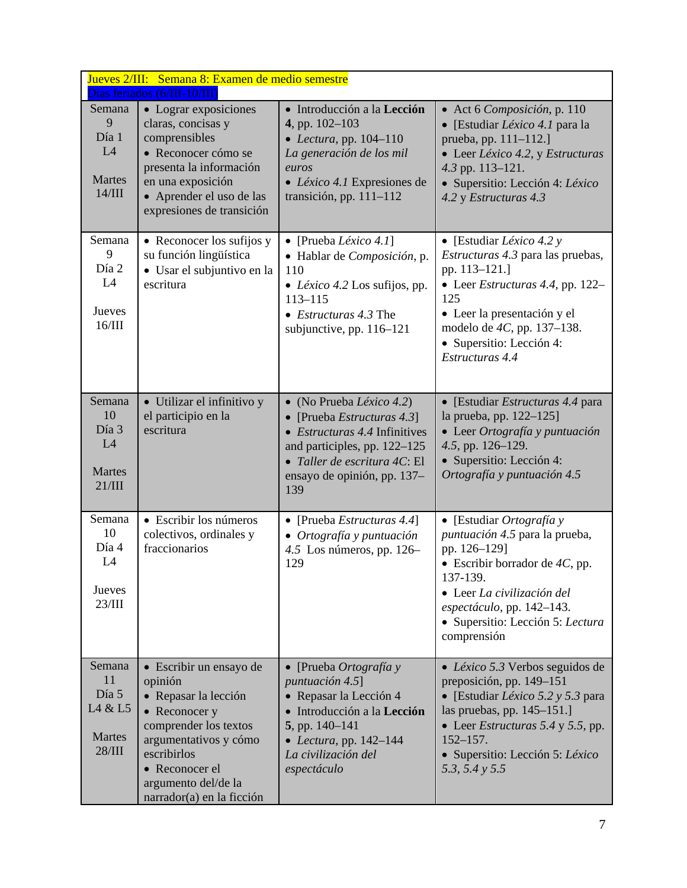| Jueves 2/III: Semana 8: Examen de medio semestre<br>Días feriados (6/III-10/III) |                                                                                                                                                                                                                    |                                                                                                                                                                                                           |                                                                                                                                                                                                                                                                      |
|----------------------------------------------------------------------------------|--------------------------------------------------------------------------------------------------------------------------------------------------------------------------------------------------------------------|-----------------------------------------------------------------------------------------------------------------------------------------------------------------------------------------------------------|----------------------------------------------------------------------------------------------------------------------------------------------------------------------------------------------------------------------------------------------------------------------|
| Semana<br>9<br>Día 1<br>L4<br><b>Martes</b><br>14/III                            | • Lograr exposiciones<br>claras, concisas y<br>comprensibles<br>• Reconocer cómo se<br>presenta la información<br>en una exposición<br>• Aprender el uso de las<br>expresiones de transición                       | • Introducción a la Lección<br>4, pp. 102-103<br>• Lectura, pp. $104-110$<br>La generación de los mil<br>euros<br>$\bullet$ <i>Léxico 4.1</i> Expresiones de<br>transición, pp. $111-112$                 | • Act 6 Composición, p. 110<br>• [Estudiar Léxico 4.1 para la<br>prueba, pp. 111-112.]<br>• Leer Léxico 4.2, y Estructuras<br>4.3 pp. 113-121.<br>· Supersitio: Lección 4: Léxico<br>4.2 y Estructuras 4.3                                                           |
| Semana<br>9<br>Día 2<br>L4<br>Jueves<br>16/III                                   | • Reconocer los sufijos y<br>su función lingüística<br>• Usar el subjuntivo en la<br>escritura                                                                                                                     | • [Prueba Léxico 4.1]<br>· Hablar de Composición, p.<br>110<br>• Léxico 4.2 Los sufijos, pp.<br>$113 - 115$<br>$\bullet$ <i>Estructuras</i> 4.3 The<br>subjunctive, pp. 116-121                           | • [Estudiar <i>Léxico</i> 4.2 y<br><i>Estructuras</i> 4.3 para las pruebas,<br>pp. 113-121.]<br>• Leer <i>Estructuras</i> 4.4, pp. $122-$<br>125<br>• Leer la presentación y el<br>modelo de 4C, pp. 137–138.<br>• Supersitio: Lección 4:<br>Estructuras 4.4         |
| Semana<br>10<br>Día 3<br>L4<br>Martes<br>21/III                                  | • Utilizar el infinitivo y<br>el participio en la<br>escritura                                                                                                                                                     | • (No Prueba Léxico 4.2)<br>• [Prueba Estructuras $4.3$ ]<br>• <i>Estructuras</i> $4.4$ Infinitives<br>and participles, pp. 122-125<br>· Taller de escritura 4C: El<br>ensayo de opinión, pp. 137-<br>139 | • [Estudiar <i>Estructuras</i> 4.4 para<br>la prueba, pp. 122-125]<br>• Leer Ortografía y puntuación<br>4.5, pp. 126-129.<br>• Supersitio: Lección 4:<br>Ortografía y puntuación 4.5                                                                                 |
| Semana<br>10<br>Día 4<br>L4<br>Jueves<br>23/III                                  | • Escribir los números<br>colectivos, ordinales y<br>fraccionarios                                                                                                                                                 | • [Prueba Estructuras 4.4]<br>· Ortografía y puntuación<br>4.5 Los números, pp. $126-$<br>129                                                                                                             | • [Estudiar Ortografía y<br>puntuación 4.5 para la prueba,<br>pp. 126-129]<br>• Escribir borrador de $4C$ , pp.<br>137-139.<br>• Leer La civilización del<br>espectáculo, pp. 142-143.<br>· Supersitio: Lección 5: Lectura<br>comprensión                            |
| Semana<br>11<br>Día 5<br>L4 & L5<br><b>Martes</b><br>28/III                      | • Escribir un ensayo de<br>opinión<br>· Repasar la lección<br>• Reconocer y<br>comprender los textos<br>argumentativos y cómo<br>escribirlos<br>• Reconocer el<br>argumento del/de la<br>narrador(a) en la ficción | • [Prueba $Ortografia y$<br>puntuación 4.5]<br>• Repasar la Lección 4<br>· Introducción a la Lección<br>$5$ , pp. 140–141<br>• Lectura, pp. $142-144$<br>La civilización del<br>espectáculo               | • <i>Léxico</i> 5.3 Verbos seguidos de<br>preposición, pp. 149-151<br>• [Estudiar <i>Léxico</i> 5.2 y 5.3 para<br>las pruebas, pp. 145–151.]<br>• Leer <i>Estructuras</i> 5.4 y 5.5, pp.<br>$152 - 157.$<br>• Supersitio: Lección 5: Léxico<br>5.3, 5.4 $\gamma$ 5.5 |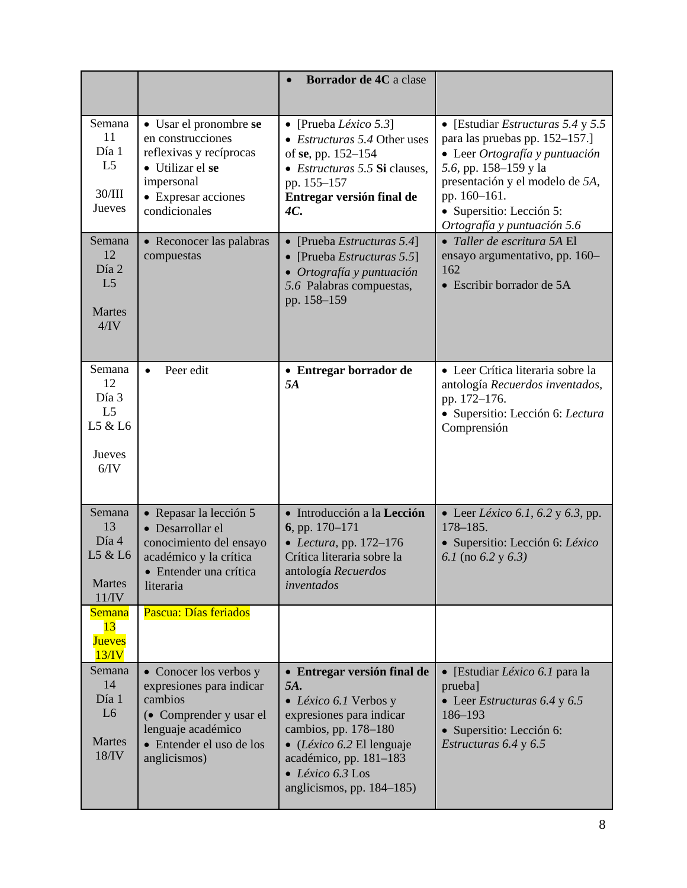|                                                                      |                                                                                                                                                           | Borrador de 4C a clase                                                                                                                                                                                                                 |                                                                                                                                                                                                                                                     |
|----------------------------------------------------------------------|-----------------------------------------------------------------------------------------------------------------------------------------------------------|----------------------------------------------------------------------------------------------------------------------------------------------------------------------------------------------------------------------------------------|-----------------------------------------------------------------------------------------------------------------------------------------------------------------------------------------------------------------------------------------------------|
| Semana<br>11<br>Día 1<br>L <sub>5</sub><br>30/III<br>Jueves          | • Usar el pronombre se<br>en construcciones<br>reflexivas y recíprocas<br>• Utilizar el se<br>impersonal<br>• Expresar acciones<br>condicionales          | • [Prueba <i>Léxico</i> 5.3]<br>• Estructuras 5.4 Other uses<br>of se, pp. 152–154<br>• <i>Estructuras</i> 5.5 Si clauses,<br>pp. 155-157<br>Entregar versión final de<br>4C.                                                          | • [Estudiar <i>Estructuras</i> 5.4 y 5.5<br>para las pruebas pp. 152-157.]<br>• Leer Ortografía y puntuación<br>5.6, pp. 158–159 y la<br>presentación y el modelo de 5A,<br>pp. 160-161.<br>· Supersitio: Lección 5:<br>Ortografía y puntuación 5.6 |
| Semana<br>12<br>Día 2<br>L <sub>5</sub><br><b>Martes</b><br>4/IV     | • Reconocer las palabras<br>compuestas                                                                                                                    | [Prueba Estructuras 5.4]<br>$\bullet$<br>[Prueba Estructuras 5.5]<br>• Ortografía y puntuación<br>5.6 Palabras compuestas,<br>pp. 158-159                                                                                              | • Taller de escritura 5A El<br>ensayo argumentativo, pp. 160-<br>162<br>• Escribir borrador de 5A                                                                                                                                                   |
| Semana<br>12<br>Día 3<br>L <sub>5</sub><br>L5 & L6<br>Jueves<br>6/IV | Peer edit<br>$\bullet$                                                                                                                                    | • Entregar borrador de<br>5A                                                                                                                                                                                                           | • Leer Crítica literaria sobre la<br>antología Recuerdos inventados,<br>pp. 172-176.<br>· Supersitio: Lección 6: Lectura<br>Comprensión                                                                                                             |
| Semana<br>13<br>Día 4<br>L5 & L6<br>Martes<br>11/IV                  | • Repasar la lección 5<br>• Desarrollar el<br>conocimiento del ensayo<br>académico y la crítica<br>Entender una crítica<br>literaria                      | · Introducción a la Lección<br>6, pp. $170-171$<br>• Lectura, pp. $172-176$<br>Crítica literaria sobre la<br>antología Recuerdos<br>inventados                                                                                         | • Leer <i>Léxico</i> 6.1, 6.2 y 6.3, pp.<br>$178 - 185.$<br>· Supersitio: Lección 6: Léxico<br>6.1 (no 6.2 y 6.3)                                                                                                                                   |
| <b>Semana</b><br>13<br><b>Jueves</b><br>13/N                         | Pascua: Días feriados                                                                                                                                     |                                                                                                                                                                                                                                        |                                                                                                                                                                                                                                                     |
| Semana<br>14<br>Día 1<br>L <sub>6</sub><br>Martes<br>18/IV           | • Conocer los verbos y<br>expresiones para indicar<br>cambios<br>• Comprender y usar el<br>lenguaje académico<br>• Entender el uso de los<br>anglicismos) | • Entregar versión final de<br>5A.<br>• Léxico 6.1 Verbos y<br>expresiones para indicar<br>cambios, pp. 178-180<br>• (Léxico 6.2 El lenguaje<br>académico, pp. 181-183<br>$\bullet$ <i>Léxico</i> 6.3 Los<br>anglicismos, pp. 184-185) | • [Estudiar <i>Léxico</i> 6.1 para la<br>prueba]<br>• Leer Estructuras $6.4$ y $6.5$<br>186-193<br>• Supersitio: Lección 6:<br>Estructuras 6.4 y 6.5                                                                                                |